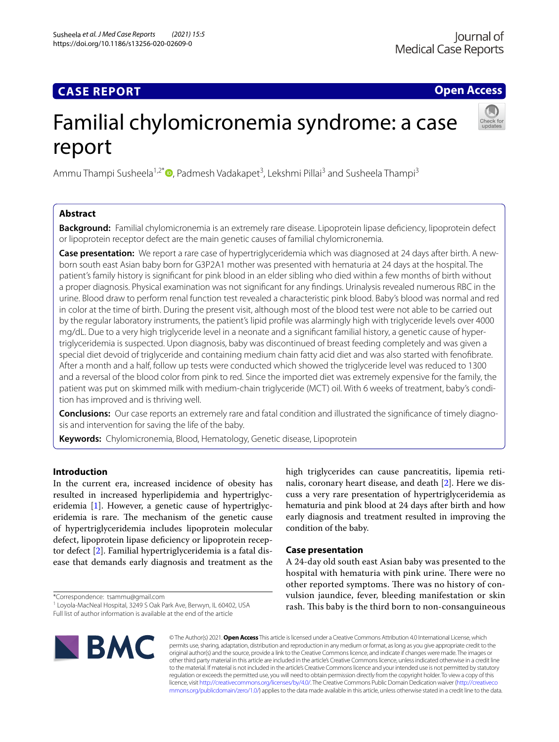## **CASE REPORT**

**Open Access**

# Familial chylomicronemia syndrome: a case report

Ammu Thampi Susheela<sup>1[,](http://orcid.org/0000-0002-4032-3133)2\*</sup>®, Padmesh Vadakapet<sup>3</sup>, Lekshmi Pillai<sup>3</sup> and Susheela Thampi<sup>3</sup>

## **Abstract**

**Background:** Familial chylomicronemia is an extremely rare disease. Lipoprotein lipase defciency, lipoprotein defect or lipoprotein receptor defect are the main genetic causes of familial chylomicronemia.

**Case presentation:** We report a rare case of hypertriglyceridemia which was diagnosed at 24 days after birth. A newborn south east Asian baby born for G3P2A1 mother was presented with hematuria at 24 days at the hospital. The patient's family history is signifcant for pink blood in an elder sibling who died within a few months of birth without a proper diagnosis. Physical examination was not signifcant for any fndings. Urinalysis revealed numerous RBC in the urine. Blood draw to perform renal function test revealed a characteristic pink blood. Baby's blood was normal and red in color at the time of birth. During the present visit, although most of the blood test were not able to be carried out by the regular laboratory instruments, the patient's lipid profle was alarmingly high with triglyceride levels over 4000 mg/dL. Due to a very high triglyceride level in a neonate and a signifcant familial history, a genetic cause of hypertriglyceridemia is suspected. Upon diagnosis, baby was discontinued of breast feeding completely and was given a special diet devoid of triglyceride and containing medium chain fatty acid diet and was also started with fenofbrate. After a month and a half, follow up tests were conducted which showed the triglyceride level was reduced to 1300 and a reversal of the blood color from pink to red. Since the imported diet was extremely expensive for the family, the patient was put on skimmed milk with medium-chain triglyceride (MCT) oil. With 6 weeks of treatment, baby's condition has improved and is thriving well.

**Conclusions:** Our case reports an extremely rare and fatal condition and illustrated the signifcance of timely diagnosis and intervention for saving the life of the baby.

**Keywords:** Chylomicronemia, Blood, Hematology, Genetic disease, Lipoprotein

### **Introduction**

In the current era, increased incidence of obesity has resulted in increased hyperlipidemia and hypertriglyceridemia [[1\]](#page-4-0). However, a genetic cause of hypertriglyceridemia is rare. The mechanism of the genetic cause of hypertriglyceridemia includes lipoprotein molecular defect, lipoprotein lipase defciency or lipoprotein receptor defect [\[2](#page-4-1)]. Familial hypertriglyceridemia is a fatal disease that demands early diagnosis and treatment as the

\*Correspondence: tsammu@gmail.com

**IBMC** 

high triglycerides can cause pancreatitis, lipemia retinalis, coronary heart disease, and death [\[2](#page-4-1)]. Here we discuss a very rare presentation of hypertriglyceridemia as hematuria and pink blood at 24 days after birth and how early diagnosis and treatment resulted in improving the condition of the baby.

#### **Case presentation**

A 24-day old south east Asian baby was presented to the hospital with hematuria with pink urine. There were no other reported symptoms. There was no history of convulsion jaundice, fever, bleeding manifestation or skin rash. This baby is the third born to non-consanguineous

© The Author(s) 2021. **Open Access** This article is licensed under a Creative Commons Attribution 4.0 International License, which permits use, sharing, adaptation, distribution and reproduction in any medium or format, as long as you give appropriate credit to the original author(s) and the source, provide a link to the Creative Commons licence, and indicate if changes were made. The images or other third party material in this article are included in the article's Creative Commons licence, unless indicated otherwise in a credit line to the material. If material is not included in the article's Creative Commons licence and your intended use is not permitted by statutory regulation or exceeds the permitted use, you will need to obtain permission directly from the copyright holder. To view a copy of this licence, visit [http://creativecommons.org/licenses/by/4.0/.](http://creativecommons.org/licenses/by/4.0/) The Creative Commons Public Domain Dedication waiver ([http://creativeco](http://creativecommons.org/publicdomain/zero/1.0/) [mmons.org/publicdomain/zero/1.0/](http://creativecommons.org/publicdomain/zero/1.0/)) applies to the data made available in this article, unless otherwise stated in a credit line to the data.

<sup>&</sup>lt;sup>1</sup> Loyola-MacNeal Hospital, 3249 S Oak Park Ave, Berwyn, IL 60402, USA Full list of author information is available at the end of the article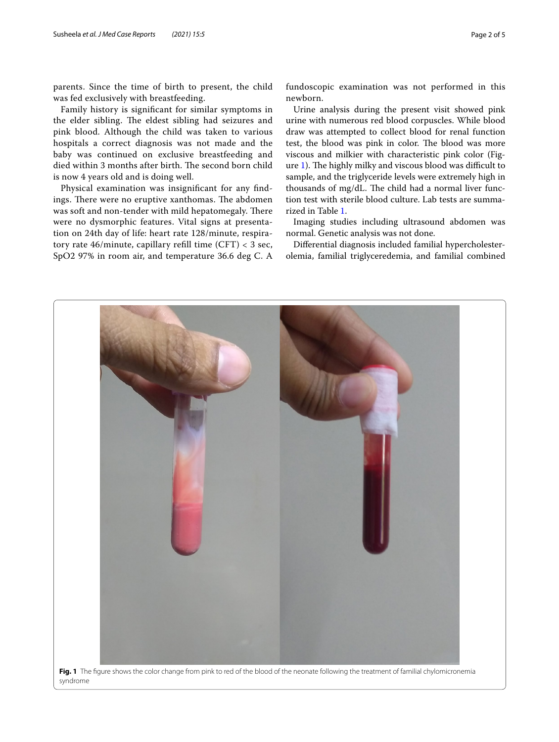parents. Since the time of birth to present, the child was fed exclusively with breastfeeding.

Family history is signifcant for similar symptoms in the elder sibling. The eldest sibling had seizures and pink blood. Although the child was taken to various hospitals a correct diagnosis was not made and the baby was continued on exclusive breastfeeding and died within 3 months after birth. The second born child is now 4 years old and is doing well.

Physical examination was insignifcant for any fndings. There were no eruptive xanthomas. The abdomen was soft and non-tender with mild hepatomegaly. There were no dysmorphic features. Vital signs at presentation on 24th day of life: heart rate 128/minute, respiratory rate 46/minute, capillary refll time (CFT) < 3 sec, SpO2 97% in room air, and temperature 36.6 deg C. A fundoscopic examination was not performed in this newborn.

Urine analysis during the present visit showed pink urine with numerous red blood corpuscles. While blood draw was attempted to collect blood for renal function test, the blood was pink in color. The blood was more viscous and milkier with characteristic pink color (Figure  $1$ ). The highly milky and viscous blood was difficult to sample, and the triglyceride levels were extremely high in thousands of mg/dL. The child had a normal liver function test with sterile blood culture. Lab tests are summarized in Table [1.](#page-2-0)

Imaging studies including ultrasound abdomen was normal. Genetic analysis was not done.

Diferential diagnosis included familial hypercholesterolemia, familial triglyceredemia, and familial combined

<span id="page-1-0"></span>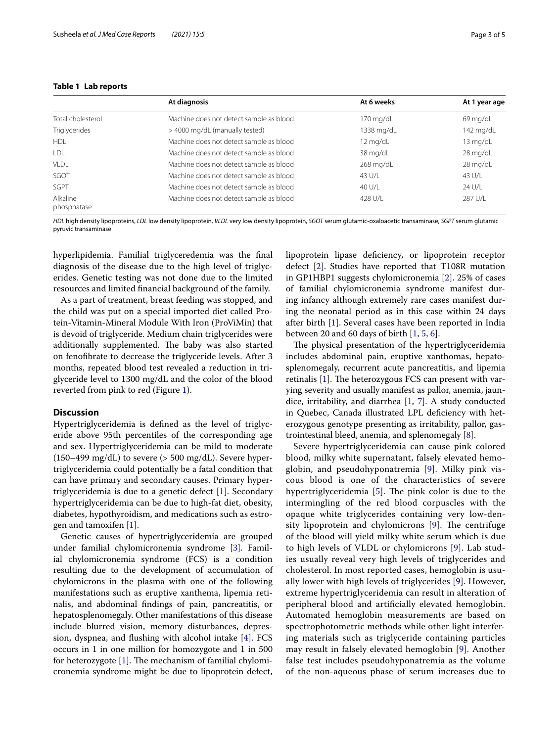<span id="page-2-0"></span>

| Table 1 Lab reports |  |  |
|---------------------|--|--|
|---------------------|--|--|

|                         | At diagnosis                            | At 6 weeks         | At 1 year age      |
|-------------------------|-----------------------------------------|--------------------|--------------------|
| Total cholesterol       | Machine does not detect sample as blood | 170 mg/dL          | $69 \text{ mg/dL}$ |
| Triglycerides           | > 4000 mg/dL (manually tested)          | 1338 mg/dL         | 142 mg/dL          |
| <b>HDL</b>              | Machine does not detect sample as blood | $12 \text{ mg/dL}$ | $13 \text{ mg/dL}$ |
| LDL                     | Machine does not detect sample as blood | 38 mg/dL           | 28 mg/dL           |
| <b>VLDL</b>             | Machine does not detect sample as blood | 268 mg/dL          | 28 mg/dL           |
| SGOT                    | Machine does not detect sample as blood | 43 U/L             | 43 U/L             |
| SGPT                    | Machine does not detect sample as blood | 40 U/L             | 24 U/L             |
| Alkaline<br>phosphatase | Machine does not detect sample as blood | 428 U/L            | 287 U/L            |

*HDL* high density lipoproteins, *LDL* low density lipoprotein, *VLDL* very low density lipoprotein, *SGOT* serum glutamic-oxaloacetic transaminase, *SGPT* serum glutamic pyruvic transaminase

hyperlipidemia. Familial triglyceredemia was the fnal diagnosis of the disease due to the high level of triglycerides. Genetic testing was not done due to the limited resources and limited fnancial background of the family.

As a part of treatment, breast feeding was stopped, and the child was put on a special imported diet called Protein-Vitamin-Mineral Module With Iron (ProViMin) that is devoid of triglyceride. Medium chain triglycerides were additionally supplemented. The baby was also started on fenofbrate to decrease the triglyceride levels. After 3 months, repeated blood test revealed a reduction in triglyceride level to 1300 mg/dL and the color of the blood reverted from pink to red (Figure [1](#page-1-0)).

#### **Discussion**

Hypertriglyceridemia is defned as the level of triglyceride above 95th percentiles of the corresponding age and sex. Hypertriglyceridemia can be mild to moderate  $(150–499 \text{ mg/dL})$  to severe ( $> 500 \text{ mg/dL}$ ). Severe hypertriglyceridemia could potentially be a fatal condition that can have primary and secondary causes. Primary hypertriglyceridemia is due to a genetic defect  $[1]$  $[1]$ . Secondary hypertriglyceridemia can be due to high-fat diet, obesity, diabetes, hypothyroidism, and medications such as estrogen and tamoxifen [[1\]](#page-4-0).

Genetic causes of hypertriglyceridemia are grouped under familial chylomicronemia syndrome [\[3](#page-4-2)]. Familial chylomicronemia syndrome (FCS) is a condition resulting due to the development of accumulation of chylomicrons in the plasma with one of the following manifestations such as eruptive xanthema, lipemia retinalis, and abdominal fndings of pain, pancreatitis, or hepatosplenomegaly. Other manifestations of this disease include blurred vision, memory disturbances, depression, dyspnea, and fushing with alcohol intake [[4\]](#page-4-3). FCS occurs in 1 in one million for homozygote and 1 in 500 for heterozygote  $[1]$  $[1]$ . The mechanism of familial chylomicronemia syndrome might be due to lipoprotein defect, lipoprotein lipase defciency, or lipoprotein receptor defect [\[2](#page-4-1)]. Studies have reported that T108R mutation in GP1HBP1 suggests chylomicronemia [\[2\]](#page-4-1). 25% of cases of familial chylomicronemia syndrome manifest during infancy although extremely rare cases manifest during the neonatal period as in this case within 24 days after birth [\[1\]](#page-4-0). Several cases have been reported in India between 20 and 60 days of birth  $[1, 5, 6]$  $[1, 5, 6]$  $[1, 5, 6]$  $[1, 5, 6]$  $[1, 5, 6]$ .

The physical presentation of the hypertriglyceridemia includes abdominal pain, eruptive xanthomas, hepatosplenomegaly, recurrent acute pancreatitis, and lipemia retinalis  $[1]$  $[1]$ . The heterozygous FCS can present with varying severity and usually manifest as pallor, anemia, jaundice, irritability, and diarrhea [\[1](#page-4-0), [7\]](#page-4-6). A study conducted in Quebec, Canada illustrated LPL defciency with heterozygous genotype presenting as irritability, pallor, gastrointestinal bleed, anemia, and splenomegaly [[8\]](#page-4-7).

Severe hypertriglyceridemia can cause pink colored blood, milky white supernatant, falsely elevated hemoglobin, and pseudohyponatremia [\[9](#page-4-8)]. Milky pink viscous blood is one of the characteristics of severe hypertriglyceridemia  $[5]$  $[5]$ . The pink color is due to the intermingling of the red blood corpuscles with the opaque white triglycerides containing very low-density lipoprotein and chylomicrons  $[9]$ . The centrifuge of the blood will yield milky white serum which is due to high levels of VLDL or chylomicrons [\[9](#page-4-8)]. Lab studies usually reveal very high levels of triglycerides and cholesterol. In most reported cases, hemoglobin is usually lower with high levels of triglycerides [[9\]](#page-4-8). However, extreme hypertriglyceridemia can result in alteration of peripheral blood and artifcially elevated hemoglobin. Automated hemoglobin measurements are based on spectrophotometric methods while other light interfering materials such as triglyceride containing particles may result in falsely elevated hemoglobin [\[9](#page-4-8)]. Another false test includes pseudohyponatremia as the volume of the non-aqueous phase of serum increases due to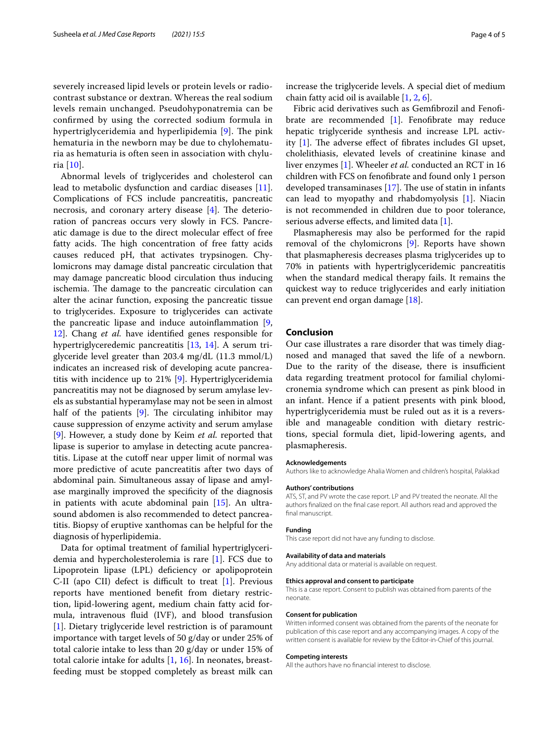severely increased lipid levels or protein levels or radiocontrast substance or dextran. Whereas the real sodium levels remain unchanged. Pseudohyponatremia can be confrmed by using the corrected sodium formula in hypertriglyceridemia and hyperlipidemia [\[9](#page-4-8)]. The pink hematuria in the newborn may be due to chylohematuria as hematuria is often seen in association with chyluria [[10\]](#page-4-9).

Abnormal levels of triglycerides and cholesterol can lead to metabolic dysfunction and cardiac diseases [\[11](#page-4-10)]. Complications of FCS include pancreatitis, pancreatic necrosis, and coronary artery disease  $[4]$  $[4]$  $[4]$ . The deterioration of pancreas occurs very slowly in FCS. Pancreatic damage is due to the direct molecular efect of free fatty acids. The high concentration of free fatty acids causes reduced pH, that activates trypsinogen. Chylomicrons may damage distal pancreatic circulation that may damage pancreatic blood circulation thus inducing ischemia. The damage to the pancreatic circulation can alter the acinar function, exposing the pancreatic tissue to triglycerides. Exposure to triglycerides can activate the pancreatic lipase and induce autoinflammation  $[9, 1]$  $[9, 1]$ [12\]](#page-4-11). Chang *et al.* have identifed genes responsible for hypertriglyceredemic pancreatitis [\[13](#page-4-12), [14](#page-4-13)]. A serum triglyceride level greater than 203.4 mg/dL (11.3 mmol/L) indicates an increased risk of developing acute pancreatitis with incidence up to 21% [\[9](#page-4-8)]. Hypertriglyceridemia pancreatitis may not be diagnosed by serum amylase levels as substantial hyperamylase may not be seen in almost half of the patients  $[9]$  $[9]$  $[9]$ . The circulating inhibitor may cause suppression of enzyme activity and serum amylase [[9\]](#page-4-8). However, a study done by Keim *et al.* reported that lipase is superior to amylase in detecting acute pancreatitis. Lipase at the cutoff near upper limit of normal was more predictive of acute pancreatitis after two days of abdominal pain. Simultaneous assay of lipase and amylase marginally improved the specifcity of the diagnosis in patients with acute abdominal pain [\[15](#page-4-14)]. An ultrasound abdomen is also recommended to detect pancreatitis. Biopsy of eruptive xanthomas can be helpful for the diagnosis of hyperlipidemia.

Data for optimal treatment of familial hypertriglyceridemia and hypercholesterolemia is rare [\[1\]](#page-4-0). FCS due to Lipoprotein lipase (LPL) deficiency or apolipoprotein C-II (apo CII) defect is difficult to treat  $[1]$  $[1]$ . Previous reports have mentioned beneft from dietary restriction, lipid-lowering agent, medium chain fatty acid formula, intravenous fluid (IVF), and blood transfusion [[1\]](#page-4-0). Dietary triglyceride level restriction is of paramount importance with target levels of 50 g/day or under 25% of total calorie intake to less than 20 g/day or under 15% of total calorie intake for adults [\[1](#page-4-0), [16\]](#page-4-15). In neonates, breastfeeding must be stopped completely as breast milk can increase the triglyceride levels. A special diet of medium chain fatty acid oil is available [\[1](#page-4-0), [2,](#page-4-1) [6](#page-4-5)].

Fibric acid derivatives such as Gemfbrozil and Fenofbrate are recommended [\[1\]](#page-4-0). Fenofbrate may reduce hepatic triglyceride synthesis and increase LPL activity  $[1]$ . The adverse effect of fibrates includes GI upset, cholelithiasis, elevated levels of creatinine kinase and liver enzymes [\[1](#page-4-0)]. Wheeler *et al.* conducted an RCT in 16 children with FCS on fenofbrate and found only 1 person developed transaminases  $[17]$  $[17]$ . The use of statin in infants can lead to myopathy and rhabdomyolysis [\[1](#page-4-0)]. Niacin is not recommended in children due to poor tolerance, serious adverse effects, and limited data [\[1](#page-4-0)].

Plasmapheresis may also be performed for the rapid removal of the chylomicrons [\[9](#page-4-8)]. Reports have shown that plasmapheresis decreases plasma triglycerides up to 70% in patients with hypertriglyceridemic pancreatitis when the standard medical therapy fails. It remains the quickest way to reduce triglycerides and early initiation can prevent end organ damage [\[18](#page-4-17)].

#### **Conclusion**

Our case illustrates a rare disorder that was timely diagnosed and managed that saved the life of a newborn. Due to the rarity of the disease, there is insufficient data regarding treatment protocol for familial chylomicronemia syndrome which can present as pink blood in an infant. Hence if a patient presents with pink blood, hypertriglyceridemia must be ruled out as it is a reversible and manageable condition with dietary restrictions, special formula diet, lipid-lowering agents, and plasmapheresis.

#### **Acknowledgements**

Authors like to acknowledge Ahalia Women and children's hospital, Palakkad

#### **Authors' contributions**

ATS, ST, and PV wrote the case report. LP and PV treated the neonate. All the authors fnalized on the fnal case report. All authors read and approved the final manuscript.

#### **Funding**

This case report did not have any funding to disclose.

#### **Availability of data and materials**

Any additional data or material is available on request.

#### **Ethics approval and consent to participate**

This is a case report. Consent to publish was obtained from parents of the neonate.

#### **Consent for publication**

Written informed consent was obtained from the parents of the neonate for publication of this case report and any accompanying images. A copy of the written consent is available for review by the Editor-in-Chief of this journal.

#### **Competing interests**

All the authors have no fnancial interest to disclose.